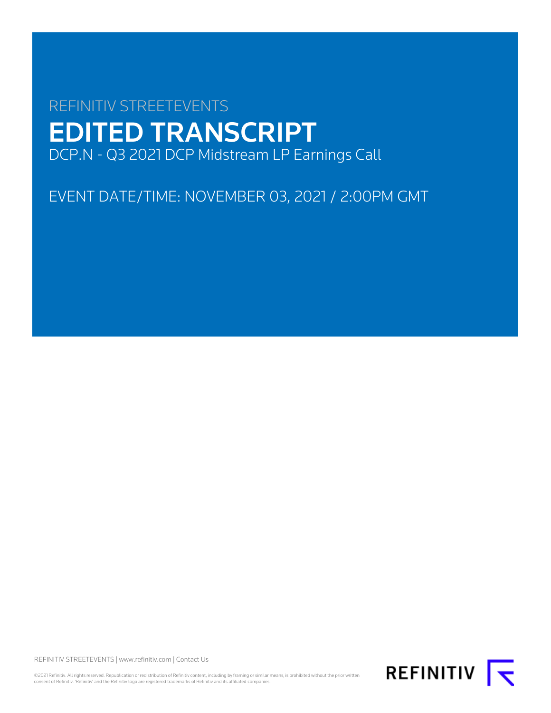# REFINITIV STREETEVENTS EDITED TRANSCRIPT DCP.N - Q3 2021 DCP Midstream LP Earnings Call

EVENT DATE/TIME: NOVEMBER 03, 2021 / 2:00PM GMT

REFINITIV STREETEVENTS | [www.refinitiv.com](https://www.refinitiv.com/) | [Contact Us](https://www.refinitiv.com/en/contact-us)

©2021 Refinitiv. All rights reserved. Republication or redistribution of Refinitiv content, including by framing or similar means, is prohibited without the prior written consent of Refinitiv. 'Refinitiv' and the Refinitiv logo are registered trademarks of Refinitiv and its affiliated companies.

REFINITIV **I**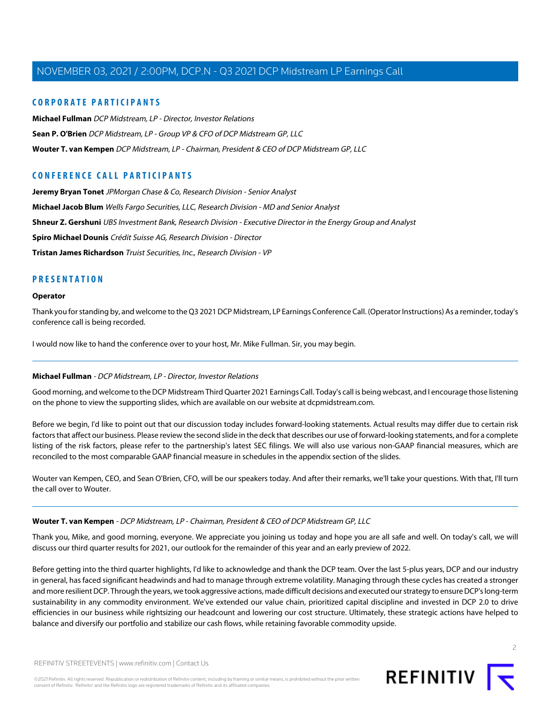## **CORPORATE PARTICIPANTS**

**[Michael Fullman](#page-1-0)** DCP Midstream, LP - Director, Investor Relations **[Sean P. O'Brien](#page-2-0)** DCP Midstream, LP - Group VP & CFO of DCP Midstream GP, LLC **[Wouter T. van Kempen](#page-1-1)** DCP Midstream, LP - Chairman, President & CEO of DCP Midstream GP, LLC

# **CONFERENCE CALL PARTICIPANTS**

**[Jeremy Bryan Tonet](#page-7-0)** JPMorgan Chase & Co, Research Division - Senior Analyst **[Michael Jacob Blum](#page-6-0)** Wells Fargo Securities, LLC, Research Division - MD and Senior Analyst **[Shneur Z. Gershuni](#page-4-0)** UBS Investment Bank, Research Division - Executive Director in the Energy Group and Analyst **[Spiro Michael Dounis](#page-10-0)** Crédit Suisse AG, Research Division - Director **[Tristan James Richardson](#page-8-0)** Truist Securities, Inc., Research Division - VP

## **PRESENTATION**

#### **Operator**

Thank you for standing by, and welcome to the Q3 2021 DCP Midstream, LP Earnings Conference Call. (Operator Instructions) As a reminder, today's conference call is being recorded.

<span id="page-1-0"></span>I would now like to hand the conference over to your host, Mr. Mike Fullman. Sir, you may begin.

#### **Michael Fullman** - DCP Midstream, LP - Director, Investor Relations

Good morning, and welcome to the DCP Midstream Third Quarter 2021 Earnings Call. Today's call is being webcast, and I encourage those listening on the phone to view the supporting slides, which are available on our website at dcpmidstream.com.

Before we begin, I'd like to point out that our discussion today includes forward-looking statements. Actual results may differ due to certain risk factors that affect our business. Please review the second slide in the deck that describes our use of forward-looking statements, and for a complete listing of the risk factors, please refer to the partnership's latest SEC filings. We will also use various non-GAAP financial measures, which are reconciled to the most comparable GAAP financial measure in schedules in the appendix section of the slides.

<span id="page-1-1"></span>Wouter van Kempen, CEO, and Sean O'Brien, CFO, will be our speakers today. And after their remarks, we'll take your questions. With that, I'll turn the call over to Wouter.

#### **Wouter T. van Kempen** - DCP Midstream, LP - Chairman, President & CEO of DCP Midstream GP, LLC

Thank you, Mike, and good morning, everyone. We appreciate you joining us today and hope you are all safe and well. On today's call, we will discuss our third quarter results for 2021, our outlook for the remainder of this year and an early preview of 2022.

Before getting into the third quarter highlights, I'd like to acknowledge and thank the DCP team. Over the last 5-plus years, DCP and our industry in general, has faced significant headwinds and had to manage through extreme volatility. Managing through these cycles has created a stronger and more resilient DCP. Through the years, we took aggressive actions, made difficult decisions and executed our strategy to ensure DCP's long-term sustainability in any commodity environment. We've extended our value chain, prioritized capital discipline and invested in DCP 2.0 to drive efficiencies in our business while rightsizing our headcount and lowering our cost structure. Ultimately, these strategic actions have helped to balance and diversify our portfolio and stabilize our cash flows, while retaining favorable commodity upside.



2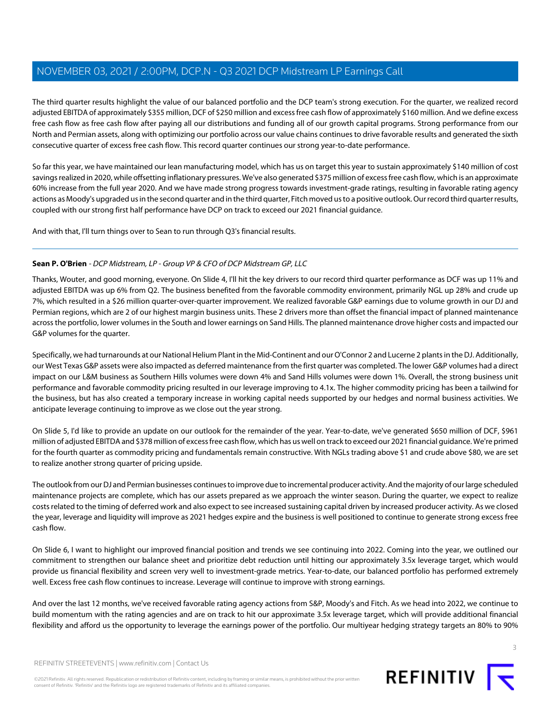The third quarter results highlight the value of our balanced portfolio and the DCP team's strong execution. For the quarter, we realized record adjusted EBITDA of approximately \$355 million, DCF of \$250 million and excess free cash flow of approximately \$160 million. And we define excess free cash flow as free cash flow after paying all our distributions and funding all of our growth capital programs. Strong performance from our North and Permian assets, along with optimizing our portfolio across our value chains continues to drive favorable results and generated the sixth consecutive quarter of excess free cash flow. This record quarter continues our strong year-to-date performance.

So far this year, we have maintained our lean manufacturing model, which has us on target this year to sustain approximately \$140 million of cost savings realized in 2020, while offsetting inflationary pressures. We've also generated \$375 million of excess free cash flow, which is an approximate 60% increase from the full year 2020. And we have made strong progress towards investment-grade ratings, resulting in favorable rating agency actions as Moody's upgraded us in the second quarter and in the third quarter, Fitch moved us to a positive outlook. Our record third quarter results, coupled with our strong first half performance have DCP on track to exceed our 2021 financial guidance.

<span id="page-2-0"></span>And with that, I'll turn things over to Sean to run through Q3's financial results.

### **Sean P. O'Brien** - DCP Midstream, LP - Group VP & CFO of DCP Midstream GP, LLC

Thanks, Wouter, and good morning, everyone. On Slide 4, I'll hit the key drivers to our record third quarter performance as DCF was up 11% and adjusted EBITDA was up 6% from Q2. The business benefited from the favorable commodity environment, primarily NGL up 28% and crude up 7%, which resulted in a \$26 million quarter-over-quarter improvement. We realized favorable G&P earnings due to volume growth in our DJ and Permian regions, which are 2 of our highest margin business units. These 2 drivers more than offset the financial impact of planned maintenance across the portfolio, lower volumes in the South and lower earnings on Sand Hills. The planned maintenance drove higher costs and impacted our G&P volumes for the quarter.

Specifically, we had turnarounds at our National Helium Plant in the Mid-Continent and our O'Connor 2 and Lucerne 2 plants in the DJ. Additionally, our West Texas G&P assets were also impacted as deferred maintenance from the first quarter was completed. The lower G&P volumes had a direct impact on our L&M business as Southern Hills volumes were down 4% and Sand Hills volumes were down 1%. Overall, the strong business unit performance and favorable commodity pricing resulted in our leverage improving to 4.1x. The higher commodity pricing has been a tailwind for the business, but has also created a temporary increase in working capital needs supported by our hedges and normal business activities. We anticipate leverage continuing to improve as we close out the year strong.

On Slide 5, I'd like to provide an update on our outlook for the remainder of the year. Year-to-date, we've generated \$650 million of DCF, \$961 million of adjusted EBITDA and \$378 million of excess free cash flow, which has us well on track to exceed our 2021 financial guidance. We're primed for the fourth quarter as commodity pricing and fundamentals remain constructive. With NGLs trading above \$1 and crude above \$80, we are set to realize another strong quarter of pricing upside.

The outlook from our DJ and Permian businesses continues to improve due to incremental producer activity. And the majority of our large scheduled maintenance projects are complete, which has our assets prepared as we approach the winter season. During the quarter, we expect to realize costs related to the timing of deferred work and also expect to see increased sustaining capital driven by increased producer activity. As we closed the year, leverage and liquidity will improve as 2021 hedges expire and the business is well positioned to continue to generate strong excess free cash flow.

On Slide 6, I want to highlight our improved financial position and trends we see continuing into 2022. Coming into the year, we outlined our commitment to strengthen our balance sheet and prioritize debt reduction until hitting our approximately 3.5x leverage target, which would provide us financial flexibility and screen very well to investment-grade metrics. Year-to-date, our balanced portfolio has performed extremely well. Excess free cash flow continues to increase. Leverage will continue to improve with strong earnings.

And over the last 12 months, we've received favorable rating agency actions from S&P, Moody's and Fitch. As we head into 2022, we continue to build momentum with the rating agencies and are on track to hit our approximate 3.5x leverage target, which will provide additional financial flexibility and afford us the opportunity to leverage the earnings power of the portfolio. Our multiyear hedging strategy targets an 80% to 90%



©2021 Refinitiv. All rights reserved. Republication or redistribution of Refinitiv content, including by framing or similar means, is prohibited without the prior written consent of Refinitiv. 'Refinitiv' and the Refinitiv logo are registered trademarks of Refinitiv and its affiliated companies.

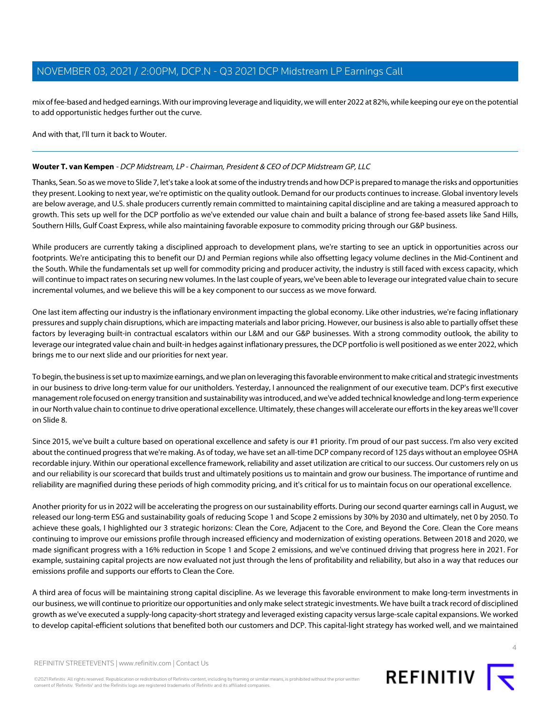mix of fee-based and hedged earnings. With our improving leverage and liquidity, we will enter 2022 at 82%, while keeping our eye on the potential to add opportunistic hedges further out the curve.

And with that, I'll turn it back to Wouter.

#### **Wouter T. van Kempen** - DCP Midstream, LP - Chairman, President & CEO of DCP Midstream GP, LLC

Thanks, Sean. So as we move to Slide 7, let's take a look at some of the industry trends and how DCP is prepared to manage the risks and opportunities they present. Looking to next year, we're optimistic on the quality outlook. Demand for our products continues to increase. Global inventory levels are below average, and U.S. shale producers currently remain committed to maintaining capital discipline and are taking a measured approach to growth. This sets up well for the DCP portfolio as we've extended our value chain and built a balance of strong fee-based assets like Sand Hills, Southern Hills, Gulf Coast Express, while also maintaining favorable exposure to commodity pricing through our G&P business.

While producers are currently taking a disciplined approach to development plans, we're starting to see an uptick in opportunities across our footprints. We're anticipating this to benefit our DJ and Permian regions while also offsetting legacy volume declines in the Mid-Continent and the South. While the fundamentals set up well for commodity pricing and producer activity, the industry is still faced with excess capacity, which will continue to impact rates on securing new volumes. In the last couple of years, we've been able to leverage our integrated value chain to secure incremental volumes, and we believe this will be a key component to our success as we move forward.

One last item affecting our industry is the inflationary environment impacting the global economy. Like other industries, we're facing inflationary pressures and supply chain disruptions, which are impacting materials and labor pricing. However, our business is also able to partially offset these factors by leveraging built-in contractual escalators within our L&M and our G&P businesses. With a strong commodity outlook, the ability to leverage our integrated value chain and built-in hedges against inflationary pressures, the DCP portfolio is well positioned as we enter 2022, which brings me to our next slide and our priorities for next year.

To begin, the business is set up to maximize earnings, and we plan on leveraging this favorable environment to make critical and strategic investments in our business to drive long-term value for our unitholders. Yesterday, I announced the realignment of our executive team. DCP's first executive management role focused on energy transition and sustainability was introduced, and we've added technical knowledge and long-term experience in our North value chain to continue to drive operational excellence. Ultimately, these changes will accelerate our efforts in the key areas we'll cover on Slide 8.

Since 2015, we've built a culture based on operational excellence and safety is our #1 priority. I'm proud of our past success. I'm also very excited about the continued progress that we're making. As of today, we have set an all-time DCP company record of 125 days without an employee OSHA recordable injury. Within our operational excellence framework, reliability and asset utilization are critical to our success. Our customers rely on us and our reliability is our scorecard that builds trust and ultimately positions us to maintain and grow our business. The importance of runtime and reliability are magnified during these periods of high commodity pricing, and it's critical for us to maintain focus on our operational excellence.

Another priority for us in 2022 will be accelerating the progress on our sustainability efforts. During our second quarter earnings call in August, we released our long-term ESG and sustainability goals of reducing Scope 1 and Scope 2 emissions by 30% by 2030 and ultimately, net 0 by 2050. To achieve these goals, I highlighted our 3 strategic horizons: Clean the Core, Adjacent to the Core, and Beyond the Core. Clean the Core means continuing to improve our emissions profile through increased efficiency and modernization of existing operations. Between 2018 and 2020, we made significant progress with a 16% reduction in Scope 1 and Scope 2 emissions, and we've continued driving that progress here in 2021. For example, sustaining capital projects are now evaluated not just through the lens of profitability and reliability, but also in a way that reduces our emissions profile and supports our efforts to Clean the Core.

A third area of focus will be maintaining strong capital discipline. As we leverage this favorable environment to make long-term investments in our business, we will continue to prioritize our opportunities and only make select strategic investments. We have built a track record of disciplined growth as we've executed a supply-long capacity-short strategy and leveraged existing capacity versus large-scale capital expansions. We worked to develop capital-efficient solutions that benefited both our customers and DCP. This capital-light strategy has worked well, and we maintained

REFINITIV STREETEVENTS | [www.refinitiv.com](https://www.refinitiv.com/) | [Contact Us](https://www.refinitiv.com/en/contact-us)

©2021 Refinitiv. All rights reserved. Republication or redistribution of Refinitiv content, including by framing or similar means, is prohibited without the prior written consent of Refinitiv. 'Refinitiv' and the Refinitiv logo are registered trademarks of Refinitiv and its affiliated companies.

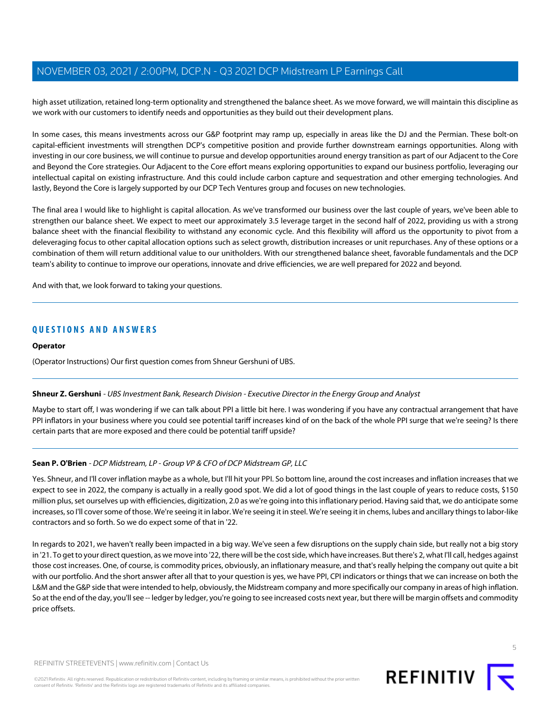high asset utilization, retained long-term optionality and strengthened the balance sheet. As we move forward, we will maintain this discipline as we work with our customers to identify needs and opportunities as they build out their development plans.

In some cases, this means investments across our G&P footprint may ramp up, especially in areas like the DJ and the Permian. These bolt-on capital-efficient investments will strengthen DCP's competitive position and provide further downstream earnings opportunities. Along with investing in our core business, we will continue to pursue and develop opportunities around energy transition as part of our Adjacent to the Core and Beyond the Core strategies. Our Adjacent to the Core effort means exploring opportunities to expand our business portfolio, leveraging our intellectual capital on existing infrastructure. And this could include carbon capture and sequestration and other emerging technologies. And lastly, Beyond the Core is largely supported by our DCP Tech Ventures group and focuses on new technologies.

The final area I would like to highlight is capital allocation. As we've transformed our business over the last couple of years, we've been able to strengthen our balance sheet. We expect to meet our approximately 3.5 leverage target in the second half of 2022, providing us with a strong balance sheet with the financial flexibility to withstand any economic cycle. And this flexibility will afford us the opportunity to pivot from a deleveraging focus to other capital allocation options such as select growth, distribution increases or unit repurchases. Any of these options or a combination of them will return additional value to our unitholders. With our strengthened balance sheet, favorable fundamentals and the DCP team's ability to continue to improve our operations, innovate and drive efficiencies, we are well prepared for 2022 and beyond.

And with that, we look forward to taking your questions.

## **QUESTIONS AND ANSWERS**

#### **Operator**

<span id="page-4-0"></span>(Operator Instructions) Our first question comes from Shneur Gershuni of UBS.

#### **Shneur Z. Gershuni** - UBS Investment Bank, Research Division - Executive Director in the Energy Group and Analyst

Maybe to start off, I was wondering if we can talk about PPI a little bit here. I was wondering if you have any contractual arrangement that have PPI inflators in your business where you could see potential tariff increases kind of on the back of the whole PPI surge that we're seeing? Is there certain parts that are more exposed and there could be potential tariff upside?

#### **Sean P. O'Brien** - DCP Midstream, LP - Group VP & CFO of DCP Midstream GP, LLC

Yes. Shneur, and I'll cover inflation maybe as a whole, but I'll hit your PPI. So bottom line, around the cost increases and inflation increases that we expect to see in 2022, the company is actually in a really good spot. We did a lot of good things in the last couple of years to reduce costs, \$150 million plus, set ourselves up with efficiencies, digitization, 2.0 as we're going into this inflationary period. Having said that, we do anticipate some increases, so I'll cover some of those. We're seeing it in labor. We're seeing it in steel. We're seeing it in chems, lubes and ancillary things to labor-like contractors and so forth. So we do expect some of that in '22.

In regards to 2021, we haven't really been impacted in a big way. We've seen a few disruptions on the supply chain side, but really not a big story in '21. To get to your direct question, as we move into '22, there will be the cost side, which have increases. But there's 2, what I'll call, hedges against those cost increases. One, of course, is commodity prices, obviously, an inflationary measure, and that's really helping the company out quite a bit with our portfolio. And the short answer after all that to your question is yes, we have PPI, CPI indicators or things that we can increase on both the L&M and the G&P side that were intended to help, obviously, the Midstream company and more specifically our company in areas of high inflation. So at the end of the day, you'll see -- ledger by ledger, you're going to see increased costs next year, but there will be margin offsets and commodity price offsets.

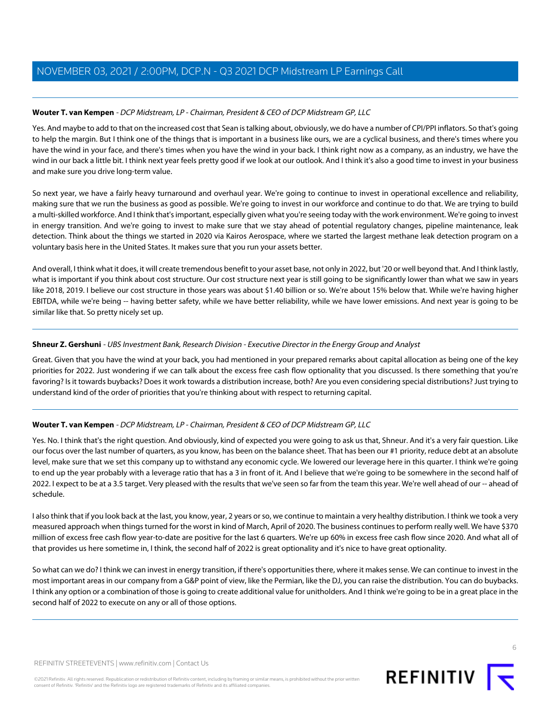## **Wouter T. van Kempen** - DCP Midstream, LP - Chairman, President & CEO of DCP Midstream GP, LLC

Yes. And maybe to add to that on the increased cost that Sean is talking about, obviously, we do have a number of CPI/PPI inflators. So that's going to help the margin. But I think one of the things that is important in a business like ours, we are a cyclical business, and there's times where you have the wind in your face, and there's times when you have the wind in your back. I think right now as a company, as an industry, we have the wind in our back a little bit. I think next year feels pretty good if we look at our outlook. And I think it's also a good time to invest in your business and make sure you drive long-term value.

So next year, we have a fairly heavy turnaround and overhaul year. We're going to continue to invest in operational excellence and reliability, making sure that we run the business as good as possible. We're going to invest in our workforce and continue to do that. We are trying to build a multi-skilled workforce. And I think that's important, especially given what you're seeing today with the work environment. We're going to invest in energy transition. And we're going to invest to make sure that we stay ahead of potential regulatory changes, pipeline maintenance, leak detection. Think about the things we started in 2020 via Kairos Aerospace, where we started the largest methane leak detection program on a voluntary basis here in the United States. It makes sure that you run your assets better.

And overall, I think what it does, it will create tremendous benefit to your asset base, not only in 2022, but '20 or well beyond that. And I think lastly, what is important if you think about cost structure. Our cost structure next year is still going to be significantly lower than what we saw in years like 2018, 2019. I believe our cost structure in those years was about \$1.40 billion or so. We're about 15% below that. While we're having higher EBITDA, while we're being -- having better safety, while we have better reliability, while we have lower emissions. And next year is going to be similar like that. So pretty nicely set up.

### **Shneur Z. Gershuni** - UBS Investment Bank, Research Division - Executive Director in the Energy Group and Analyst

Great. Given that you have the wind at your back, you had mentioned in your prepared remarks about capital allocation as being one of the key priorities for 2022. Just wondering if we can talk about the excess free cash flow optionality that you discussed. Is there something that you're favoring? Is it towards buybacks? Does it work towards a distribution increase, both? Are you even considering special distributions? Just trying to understand kind of the order of priorities that you're thinking about with respect to returning capital.

## **Wouter T. van Kempen** - DCP Midstream, LP - Chairman, President & CEO of DCP Midstream GP, LLC

Yes. No. I think that's the right question. And obviously, kind of expected you were going to ask us that, Shneur. And it's a very fair question. Like our focus over the last number of quarters, as you know, has been on the balance sheet. That has been our #1 priority, reduce debt at an absolute level, make sure that we set this company up to withstand any economic cycle. We lowered our leverage here in this quarter. I think we're going to end up the year probably with a leverage ratio that has a 3 in front of it. And I believe that we're going to be somewhere in the second half of 2022. I expect to be at a 3.5 target. Very pleased with the results that we've seen so far from the team this year. We're well ahead of our -- ahead of schedule.

I also think that if you look back at the last, you know, year, 2 years or so, we continue to maintain a very healthy distribution. I think we took a very measured approach when things turned for the worst in kind of March, April of 2020. The business continues to perform really well. We have \$370 million of excess free cash flow year-to-date are positive for the last 6 quarters. We're up 60% in excess free cash flow since 2020. And what all of that provides us here sometime in, I think, the second half of 2022 is great optionality and it's nice to have great optionality.

So what can we do? I think we can invest in energy transition, if there's opportunities there, where it makes sense. We can continue to invest in the most important areas in our company from a G&P point of view, like the Permian, like the DJ, you can raise the distribution. You can do buybacks. I think any option or a combination of those is going to create additional value for unitholders. And I think we're going to be in a great place in the second half of 2022 to execute on any or all of those options.

©2021 Refinitiv. All rights reserved. Republication or redistribution of Refinitiv content, including by framing or similar means, is prohibited without the prior written consent of Refinitiv. 'Refinitiv' and the Refinitiv logo are registered trademarks of Refinitiv and its affiliated companies.

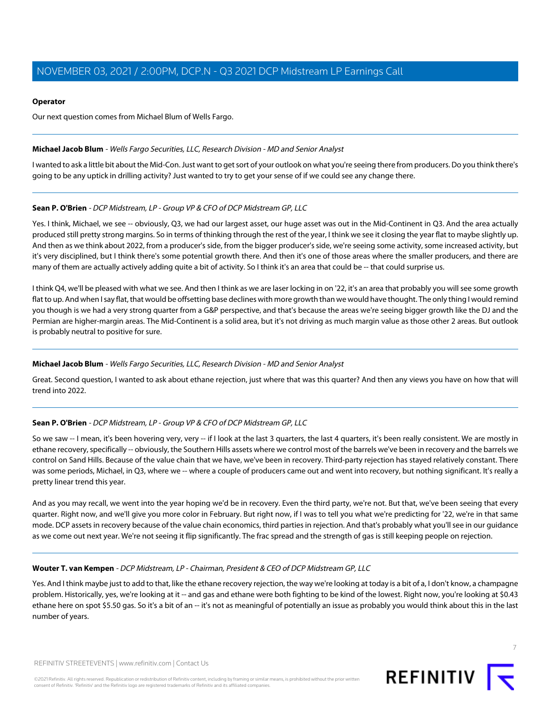#### **Operator**

Our next question comes from Michael Blum of Wells Fargo.

#### <span id="page-6-0"></span>**Michael Jacob Blum** - Wells Fargo Securities, LLC, Research Division - MD and Senior Analyst

I wanted to ask a little bit about the Mid-Con. Just want to get sort of your outlook on what you're seeing there from producers. Do you think there's going to be any uptick in drilling activity? Just wanted to try to get your sense of if we could see any change there.

### **Sean P. O'Brien** - DCP Midstream, LP - Group VP & CFO of DCP Midstream GP, LLC

Yes. I think, Michael, we see -- obviously, Q3, we had our largest asset, our huge asset was out in the Mid-Continent in Q3. And the area actually produced still pretty strong margins. So in terms of thinking through the rest of the year, I think we see it closing the year flat to maybe slightly up. And then as we think about 2022, from a producer's side, from the bigger producer's side, we're seeing some activity, some increased activity, but it's very disciplined, but I think there's some potential growth there. And then it's one of those areas where the smaller producers, and there are many of them are actually actively adding quite a bit of activity. So I think it's an area that could be -- that could surprise us.

I think Q4, we'll be pleased with what we see. And then I think as we are laser locking in on '22, it's an area that probably you will see some growth flat to up. And when I say flat, that would be offsetting base declines with more growth than we would have thought. The only thing I would remind you though is we had a very strong quarter from a G&P perspective, and that's because the areas we're seeing bigger growth like the DJ and the Permian are higher-margin areas. The Mid-Continent is a solid area, but it's not driving as much margin value as those other 2 areas. But outlook is probably neutral to positive for sure.

#### **Michael Jacob Blum** - Wells Fargo Securities, LLC, Research Division - MD and Senior Analyst

Great. Second question, I wanted to ask about ethane rejection, just where that was this quarter? And then any views you have on how that will trend into 2022.

## **Sean P. O'Brien** - DCP Midstream, LP - Group VP & CFO of DCP Midstream GP, LLC

So we saw -- I mean, it's been hovering very, very -- if I look at the last 3 quarters, the last 4 quarters, it's been really consistent. We are mostly in ethane recovery, specifically -- obviously, the Southern Hills assets where we control most of the barrels we've been in recovery and the barrels we control on Sand Hills. Because of the value chain that we have, we've been in recovery. Third-party rejection has stayed relatively constant. There was some periods, Michael, in Q3, where we -- where a couple of producers came out and went into recovery, but nothing significant. It's really a pretty linear trend this year.

And as you may recall, we went into the year hoping we'd be in recovery. Even the third party, we're not. But that, we've been seeing that every quarter. Right now, and we'll give you more color in February. But right now, if I was to tell you what we're predicting for '22, we're in that same mode. DCP assets in recovery because of the value chain economics, third parties in rejection. And that's probably what you'll see in our guidance as we come out next year. We're not seeing it flip significantly. The frac spread and the strength of gas is still keeping people on rejection.

#### **Wouter T. van Kempen** - DCP Midstream, LP - Chairman, President & CEO of DCP Midstream GP, LLC

Yes. And I think maybe just to add to that, like the ethane recovery rejection, the way we're looking at today is a bit of a, I don't know, a champagne problem. Historically, yes, we're looking at it -- and gas and ethane were both fighting to be kind of the lowest. Right now, you're looking at \$0.43 ethane here on spot \$5.50 gas. So it's a bit of an -- it's not as meaningful of potentially an issue as probably you would think about this in the last number of years.

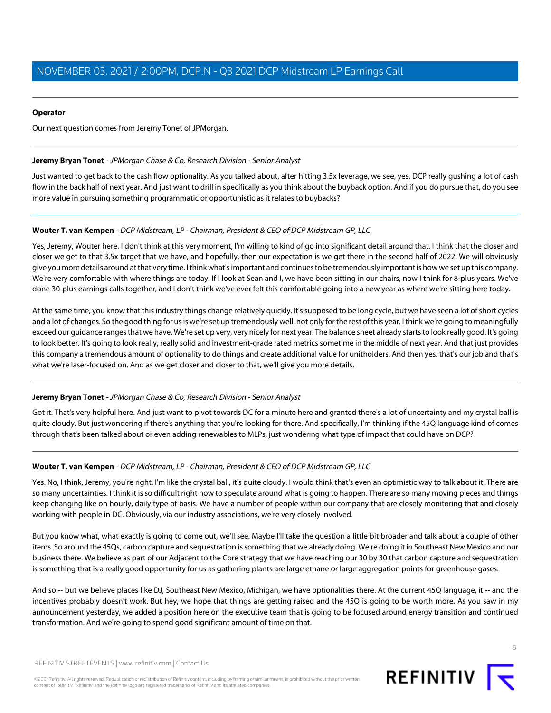#### **Operator**

<span id="page-7-0"></span>Our next question comes from Jeremy Tonet of JPMorgan.

### **Jeremy Bryan Tonet** - JPMorgan Chase & Co, Research Division - Senior Analyst

Just wanted to get back to the cash flow optionality. As you talked about, after hitting 3.5x leverage, we see, yes, DCP really gushing a lot of cash flow in the back half of next year. And just want to drill in specifically as you think about the buyback option. And if you do pursue that, do you see more value in pursuing something programmatic or opportunistic as it relates to buybacks?

### **Wouter T. van Kempen** - DCP Midstream, LP - Chairman, President & CEO of DCP Midstream GP, LLC

Yes, Jeremy, Wouter here. I don't think at this very moment, I'm willing to kind of go into significant detail around that. I think that the closer and closer we get to that 3.5x target that we have, and hopefully, then our expectation is we get there in the second half of 2022. We will obviously give you more details around at that very time. I think what's important and continues to be tremendously important is how we set up this company. We're very comfortable with where things are today. If I look at Sean and I, we have been sitting in our chairs, now I think for 8-plus years. We've done 30-plus earnings calls together, and I don't think we've ever felt this comfortable going into a new year as where we're sitting here today.

At the same time, you know that this industry things change relatively quickly. It's supposed to be long cycle, but we have seen a lot of short cycles and a lot of changes. So the good thing for us is we're set up tremendously well, not only for the rest of this year. I think we're going to meaningfully exceed our guidance ranges that we have. We're set up very, very nicely for next year. The balance sheet already starts to look really good. It's going to look better. It's going to look really, really solid and investment-grade rated metrics sometime in the middle of next year. And that just provides this company a tremendous amount of optionality to do things and create additional value for unitholders. And then yes, that's our job and that's what we're laser-focused on. And as we get closer and closer to that, we'll give you more details.

#### **Jeremy Bryan Tonet** - JPMorgan Chase & Co, Research Division - Senior Analyst

Got it. That's very helpful here. And just want to pivot towards DC for a minute here and granted there's a lot of uncertainty and my crystal ball is quite cloudy. But just wondering if there's anything that you're looking for there. And specifically, I'm thinking if the 45Q language kind of comes through that's been talked about or even adding renewables to MLPs, just wondering what type of impact that could have on DCP?

#### **Wouter T. van Kempen** - DCP Midstream, LP - Chairman, President & CEO of DCP Midstream GP, LLC

Yes. No, I think, Jeremy, you're right. I'm like the crystal ball, it's quite cloudy. I would think that's even an optimistic way to talk about it. There are so many uncertainties. I think it is so difficult right now to speculate around what is going to happen. There are so many moving pieces and things keep changing like on hourly, daily type of basis. We have a number of people within our company that are closely monitoring that and closely working with people in DC. Obviously, via our industry associations, we're very closely involved.

But you know what, what exactly is going to come out, we'll see. Maybe I'll take the question a little bit broader and talk about a couple of other items. So around the 45Qs, carbon capture and sequestration is something that we already doing. We're doing it in Southeast New Mexico and our business there. We believe as part of our Adjacent to the Core strategy that we have reaching our 30 by 30 that carbon capture and sequestration is something that is a really good opportunity for us as gathering plants are large ethane or large aggregation points for greenhouse gases.

And so -- but we believe places like DJ, Southeast New Mexico, Michigan, we have optionalities there. At the current 45Q language, it -- and the incentives probably doesn't work. But hey, we hope that things are getting raised and the 45Q is going to be worth more. As you saw in my announcement yesterday, we added a position here on the executive team that is going to be focused around energy transition and continued transformation. And we're going to spend good significant amount of time on that.

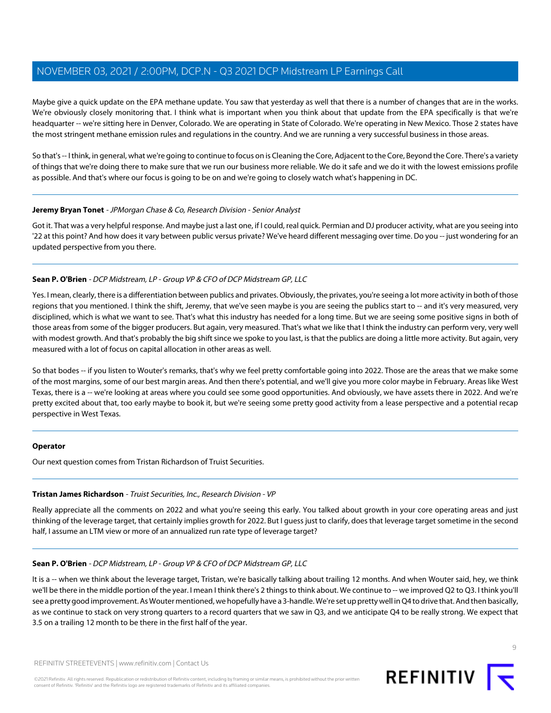Maybe give a quick update on the EPA methane update. You saw that yesterday as well that there is a number of changes that are in the works. We're obviously closely monitoring that. I think what is important when you think about that update from the EPA specifically is that we're headquarter -- we're sitting here in Denver, Colorado. We are operating in State of Colorado. We're operating in New Mexico. Those 2 states have the most stringent methane emission rules and regulations in the country. And we are running a very successful business in those areas.

So that's -- I think, in general, what we're going to continue to focus on is Cleaning the Core, Adjacent to the Core, Beyond the Core. There's a variety of things that we're doing there to make sure that we run our business more reliable. We do it safe and we do it with the lowest emissions profile as possible. And that's where our focus is going to be on and we're going to closely watch what's happening in DC.

#### **Jeremy Bryan Tonet** - JPMorgan Chase & Co, Research Division - Senior Analyst

Got it. That was a very helpful response. And maybe just a last one, if I could, real quick. Permian and DJ producer activity, what are you seeing into '22 at this point? And how does it vary between public versus private? We've heard different messaging over time. Do you -- just wondering for an updated perspective from you there.

#### **Sean P. O'Brien** - DCP Midstream, LP - Group VP & CFO of DCP Midstream GP, LLC

Yes. I mean, clearly, there is a differentiation between publics and privates. Obviously, the privates, you're seeing a lot more activity in both of those regions that you mentioned. I think the shift, Jeremy, that we've seen maybe is you are seeing the publics start to -- and it's very measured, very disciplined, which is what we want to see. That's what this industry has needed for a long time. But we are seeing some positive signs in both of those areas from some of the bigger producers. But again, very measured. That's what we like that I think the industry can perform very, very well with modest growth. And that's probably the big shift since we spoke to you last, is that the publics are doing a little more activity. But again, very measured with a lot of focus on capital allocation in other areas as well.

So that bodes -- if you listen to Wouter's remarks, that's why we feel pretty comfortable going into 2022. Those are the areas that we make some of the most margins, some of our best margin areas. And then there's potential, and we'll give you more color maybe in February. Areas like West Texas, there is a -- we're looking at areas where you could see some good opportunities. And obviously, we have assets there in 2022. And we're pretty excited about that, too early maybe to book it, but we're seeing some pretty good activity from a lease perspective and a potential recap perspective in West Texas.

#### <span id="page-8-0"></span>**Operator**

Our next question comes from Tristan Richardson of Truist Securities.

#### **Tristan James Richardson** - Truist Securities, Inc., Research Division - VP

Really appreciate all the comments on 2022 and what you're seeing this early. You talked about growth in your core operating areas and just thinking of the leverage target, that certainly implies growth for 2022. But I guess just to clarify, does that leverage target sometime in the second half, I assume an LTM view or more of an annualized run rate type of leverage target?

#### **Sean P. O'Brien** - DCP Midstream, LP - Group VP & CFO of DCP Midstream GP, LLC

It is a -- when we think about the leverage target, Tristan, we're basically talking about trailing 12 months. And when Wouter said, hey, we think we'll be there in the middle portion of the year. I mean I think there's 2 things to think about. We continue to -- we improved Q2 to Q3. I think you'll see a pretty good improvement. As Wouter mentioned, we hopefully have a 3-handle. We're set up pretty well in Q4 to drive that. And then basically, as we continue to stack on very strong quarters to a record quarters that we saw in Q3, and we anticipate Q4 to be really strong. We expect that 3.5 on a trailing 12 month to be there in the first half of the year.

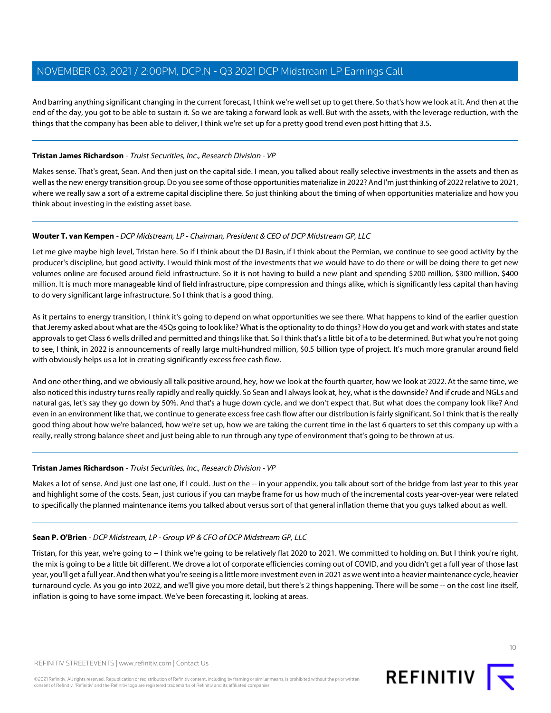And barring anything significant changing in the current forecast, I think we're well set up to get there. So that's how we look at it. And then at the end of the day, you got to be able to sustain it. So we are taking a forward look as well. But with the assets, with the leverage reduction, with the things that the company has been able to deliver, I think we're set up for a pretty good trend even post hitting that 3.5.

### **Tristan James Richardson** - Truist Securities, Inc., Research Division - VP

Makes sense. That's great, Sean. And then just on the capital side. I mean, you talked about really selective investments in the assets and then as well as the new energy transition group. Do you see some of those opportunities materialize in 2022? And I'm just thinking of 2022 relative to 2021, where we really saw a sort of a extreme capital discipline there. So just thinking about the timing of when opportunities materialize and how you think about investing in the existing asset base.

### **Wouter T. van Kempen** - DCP Midstream, LP - Chairman, President & CEO of DCP Midstream GP, LLC

Let me give maybe high level, Tristan here. So if I think about the DJ Basin, if I think about the Permian, we continue to see good activity by the producer's discipline, but good activity. I would think most of the investments that we would have to do there or will be doing there to get new volumes online are focused around field infrastructure. So it is not having to build a new plant and spending \$200 million, \$300 million, \$400 million. It is much more manageable kind of field infrastructure, pipe compression and things alike, which is significantly less capital than having to do very significant large infrastructure. So I think that is a good thing.

As it pertains to energy transition, I think it's going to depend on what opportunities we see there. What happens to kind of the earlier question that Jeremy asked about what are the 45Qs going to look like? What is the optionality to do things? How do you get and work with states and state approvals to get Class 6 wells drilled and permitted and things like that. So I think that's a little bit of a to be determined. But what you're not going to see, I think, in 2022 is announcements of really large multi-hundred million, \$0.5 billion type of project. It's much more granular around field with obviously helps us a lot in creating significantly excess free cash flow.

And one other thing, and we obviously all talk positive around, hey, how we look at the fourth quarter, how we look at 2022. At the same time, we also noticed this industry turns really rapidly and really quickly. So Sean and I always look at, hey, what is the downside? And if crude and NGLs and natural gas, let's say they go down by 50%. And that's a huge down cycle, and we don't expect that. But what does the company look like? And even in an environment like that, we continue to generate excess free cash flow after our distribution is fairly significant. So I think that is the really good thing about how we're balanced, how we're set up, how we are taking the current time in the last 6 quarters to set this company up with a really, really strong balance sheet and just being able to run through any type of environment that's going to be thrown at us.

#### **Tristan James Richardson** - Truist Securities, Inc., Research Division - VP

Makes a lot of sense. And just one last one, if I could. Just on the -- in your appendix, you talk about sort of the bridge from last year to this year and highlight some of the costs. Sean, just curious if you can maybe frame for us how much of the incremental costs year-over-year were related to specifically the planned maintenance items you talked about versus sort of that general inflation theme that you guys talked about as well.

## **Sean P. O'Brien** - DCP Midstream, LP - Group VP & CFO of DCP Midstream GP, LLC

Tristan, for this year, we're going to -- I think we're going to be relatively flat 2020 to 2021. We committed to holding on. But I think you're right, the mix is going to be a little bit different. We drove a lot of corporate efficiencies coming out of COVID, and you didn't get a full year of those last year, you'll get a full year. And then what you're seeing is a little more investment even in 2021 as we went into a heavier maintenance cycle, heavier turnaround cycle. As you go into 2022, and we'll give you more detail, but there's 2 things happening. There will be some -- on the cost line itself, inflation is going to have some impact. We've been forecasting it, looking at areas.

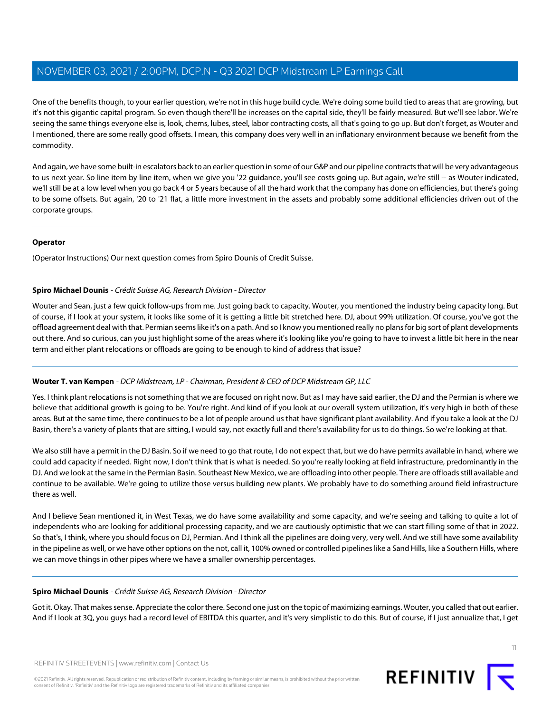One of the benefits though, to your earlier question, we're not in this huge build cycle. We're doing some build tied to areas that are growing, but it's not this gigantic capital program. So even though there'll be increases on the capital side, they'll be fairly measured. But we'll see labor. We're seeing the same things everyone else is, look, chems, lubes, steel, labor contracting costs, all that's going to go up. But don't forget, as Wouter and I mentioned, there are some really good offsets. I mean, this company does very well in an inflationary environment because we benefit from the commodity.

And again, we have some built-in escalators back to an earlier question in some of our G&P and our pipeline contracts that will be very advantageous to us next year. So line item by line item, when we give you '22 guidance, you'll see costs going up. But again, we're still -- as Wouter indicated, we'll still be at a low level when you go back 4 or 5 years because of all the hard work that the company has done on efficiencies, but there's going to be some offsets. But again, '20 to '21 flat, a little more investment in the assets and probably some additional efficiencies driven out of the corporate groups.

#### **Operator**

<span id="page-10-0"></span>(Operator Instructions) Our next question comes from Spiro Dounis of Credit Suisse.

### **Spiro Michael Dounis** - Crédit Suisse AG, Research Division - Director

Wouter and Sean, just a few quick follow-ups from me. Just going back to capacity. Wouter, you mentioned the industry being capacity long. But of course, if I look at your system, it looks like some of it is getting a little bit stretched here. DJ, about 99% utilization. Of course, you've got the offload agreement deal with that. Permian seems like it's on a path. And so I know you mentioned really no plans for big sort of plant developments out there. And so curious, can you just highlight some of the areas where it's looking like you're going to have to invest a little bit here in the near term and either plant relocations or offloads are going to be enough to kind of address that issue?

## **Wouter T. van Kempen** - DCP Midstream, LP - Chairman, President & CEO of DCP Midstream GP, LLC

Yes. I think plant relocations is not something that we are focused on right now. But as I may have said earlier, the DJ and the Permian is where we believe that additional growth is going to be. You're right. And kind of if you look at our overall system utilization, it's very high in both of these areas. But at the same time, there continues to be a lot of people around us that have significant plant availability. And if you take a look at the DJ Basin, there's a variety of plants that are sitting, I would say, not exactly full and there's availability for us to do things. So we're looking at that.

We also still have a permit in the DJ Basin. So if we need to go that route, I do not expect that, but we do have permits available in hand, where we could add capacity if needed. Right now, I don't think that is what is needed. So you're really looking at field infrastructure, predominantly in the DJ. And we look at the same in the Permian Basin. Southeast New Mexico, we are offloading into other people. There are offloads still available and continue to be available. We're going to utilize those versus building new plants. We probably have to do something around field infrastructure there as well.

And I believe Sean mentioned it, in West Texas, we do have some availability and some capacity, and we're seeing and talking to quite a lot of independents who are looking for additional processing capacity, and we are cautiously optimistic that we can start filling some of that in 2022. So that's, I think, where you should focus on DJ, Permian. And I think all the pipelines are doing very, very well. And we still have some availability in the pipeline as well, or we have other options on the not, call it, 100% owned or controlled pipelines like a Sand Hills, like a Southern Hills, where we can move things in other pipes where we have a smaller ownership percentages.

#### **Spiro Michael Dounis** - Crédit Suisse AG, Research Division - Director

Got it. Okay. That makes sense. Appreciate the color there. Second one just on the topic of maximizing earnings. Wouter, you called that out earlier. And if I look at 3Q, you guys had a record level of EBITDA this quarter, and it's very simplistic to do this. But of course, if I just annualize that, I get

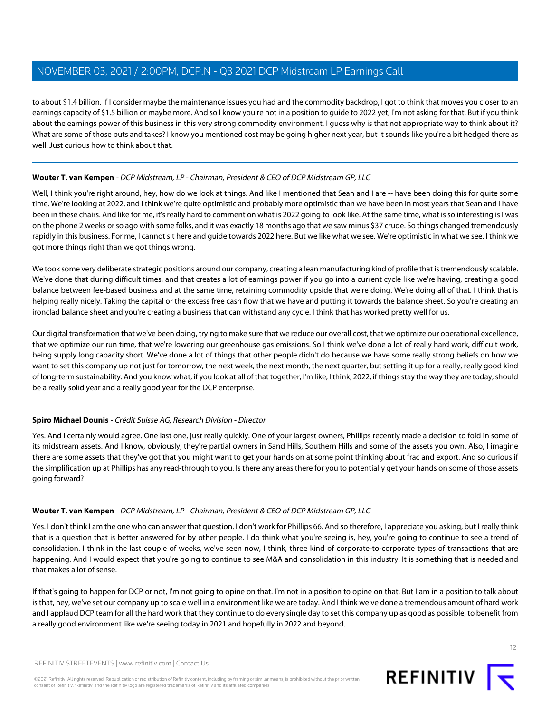to about \$1.4 billion. If I consider maybe the maintenance issues you had and the commodity backdrop, I got to think that moves you closer to an earnings capacity of \$1.5 billion or maybe more. And so I know you're not in a position to guide to 2022 yet, I'm not asking for that. But if you think about the earnings power of this business in this very strong commodity environment, I guess why is that not appropriate way to think about it? What are some of those puts and takes? I know you mentioned cost may be going higher next year, but it sounds like you're a bit hedged there as well. Just curious how to think about that.

## **Wouter T. van Kempen** - DCP Midstream, LP - Chairman, President & CEO of DCP Midstream GP, LLC

Well, I think you're right around, hey, how do we look at things. And like I mentioned that Sean and I are -- have been doing this for quite some time. We're looking at 2022, and I think we're quite optimistic and probably more optimistic than we have been in most years that Sean and I have been in these chairs. And like for me, it's really hard to comment on what is 2022 going to look like. At the same time, what is so interesting is I was on the phone 2 weeks or so ago with some folks, and it was exactly 18 months ago that we saw minus \$37 crude. So things changed tremendously rapidly in this business. For me, I cannot sit here and guide towards 2022 here. But we like what we see. We're optimistic in what we see. I think we got more things right than we got things wrong.

We took some very deliberate strategic positions around our company, creating a lean manufacturing kind of profile that is tremendously scalable. We've done that during difficult times, and that creates a lot of earnings power if you go into a current cycle like we're having, creating a good balance between fee-based business and at the same time, retaining commodity upside that we're doing. We're doing all of that. I think that is helping really nicely. Taking the capital or the excess free cash flow that we have and putting it towards the balance sheet. So you're creating an ironclad balance sheet and you're creating a business that can withstand any cycle. I think that has worked pretty well for us.

Our digital transformation that we've been doing, trying to make sure that we reduce our overall cost, that we optimize our operational excellence, that we optimize our run time, that we're lowering our greenhouse gas emissions. So I think we've done a lot of really hard work, difficult work, being supply long capacity short. We've done a lot of things that other people didn't do because we have some really strong beliefs on how we want to set this company up not just for tomorrow, the next week, the next month, the next quarter, but setting it up for a really, really good kind of long-term sustainability. And you know what, if you look at all of that together, I'm like, I think, 2022, if things stay the way they are today, should be a really solid year and a really good year for the DCP enterprise.

#### **Spiro Michael Dounis** - Crédit Suisse AG, Research Division - Director

Yes. And I certainly would agree. One last one, just really quickly. One of your largest owners, Phillips recently made a decision to fold in some of its midstream assets. And I know, obviously, they're partial owners in Sand Hills, Southern Hills and some of the assets you own. Also, I imagine there are some assets that they've got that you might want to get your hands on at some point thinking about frac and export. And so curious if the simplification up at Phillips has any read-through to you. Is there any areas there for you to potentially get your hands on some of those assets going forward?

#### **Wouter T. van Kempen** - DCP Midstream, LP - Chairman, President & CEO of DCP Midstream GP, LLC

Yes. I don't think I am the one who can answer that question. I don't work for Phillips 66. And so therefore, I appreciate you asking, but I really think that is a question that is better answered for by other people. I do think what you're seeing is, hey, you're going to continue to see a trend of consolidation. I think in the last couple of weeks, we've seen now, I think, three kind of corporate-to-corporate types of transactions that are happening. And I would expect that you're going to continue to see M&A and consolidation in this industry. It is something that is needed and that makes a lot of sense.

If that's going to happen for DCP or not, I'm not going to opine on that. I'm not in a position to opine on that. But I am in a position to talk about is that, hey, we've set our company up to scale well in a environment like we are today. And I think we've done a tremendous amount of hard work and I applaud DCP team for all the hard work that they continue to do every single day to set this company up as good as possible, to benefit from a really good environment like we're seeing today in 2021 and hopefully in 2022 and beyond.